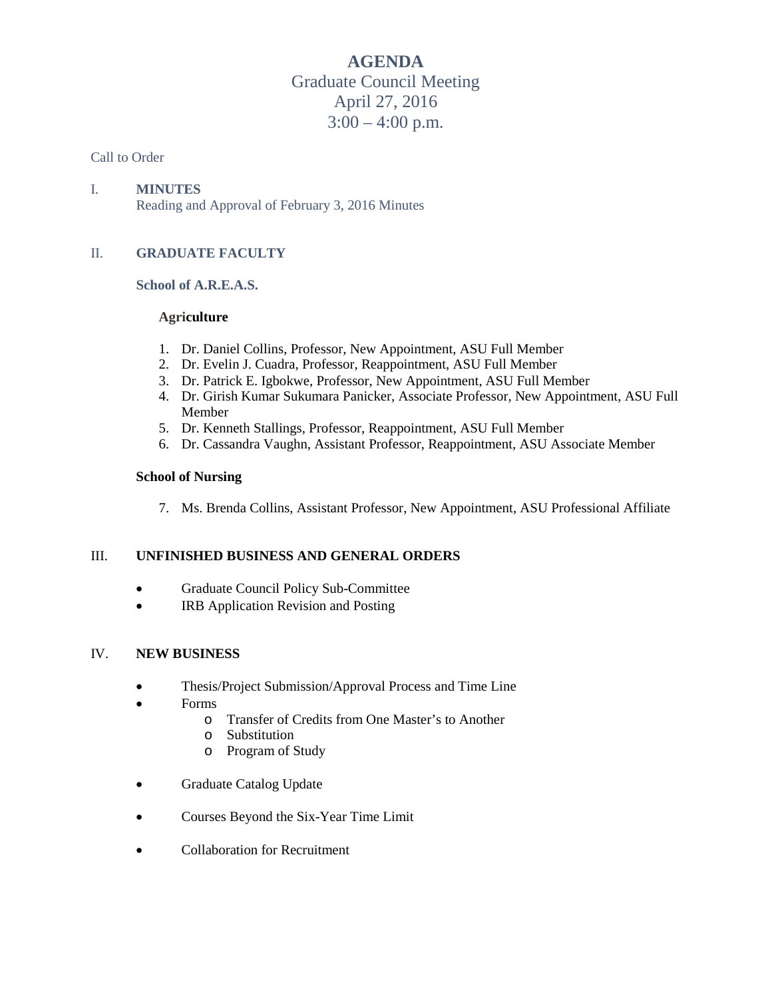**AGENDA** Graduate Council Meeting April 27, 2016  $3:00 - 4:00$  p.m.

#### Call to Order

## I. **MINUTES**

Reading and Approval of February 3, 2016 Minutes

## II. **GRADUATE FACULTY**

## **School of A.R.E.A.S.**

#### **Agriculture**

- 1. Dr. Daniel Collins, Professor, New Appointment, ASU Full Member
- 2. Dr. Evelin J. Cuadra, Professor, Reappointment, ASU Full Member
- 3. Dr. Patrick E. Igbokwe, Professor, New Appointment, ASU Full Member
- 4. Dr. Girish Kumar Sukumara Panicker, Associate Professor, New Appointment, ASU Full Member
- 5. Dr. Kenneth Stallings, Professor, Reappointment, ASU Full Member
- 6. Dr. Cassandra Vaughn, Assistant Professor, Reappointment, ASU Associate Member

#### **School of Nursing**

7. Ms. Brenda Collins, Assistant Professor, New Appointment, ASU Professional Affiliate

## III. **UNFINISHED BUSINESS AND GENERAL ORDERS**

- Graduate Council Policy Sub-Committee
- **IRB Application Revision and Posting**

#### IV. **NEW BUSINESS**

- Thesis/Project Submission/Approval Process and Time Line
- Forms
	- o Transfer of Credits from One Master's to Another
	- o Substitution
	- o Program of Study
- Graduate Catalog Update
- Courses Beyond the Six-Year Time Limit
- Collaboration for Recruitment